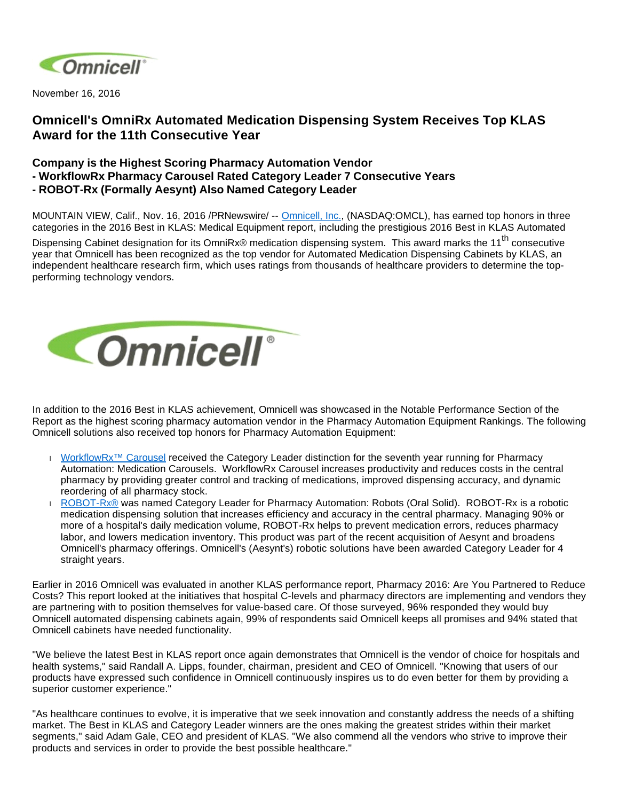

November 16, 2016

# **Omnicell's OmniRx Automated Medication Dispensing System Receives Top KLAS Award for the 11th Consecutive Year**

# **Company is the Highest Scoring Pharmacy Automation Vendor - WorkflowRx Pharmacy Carousel Rated Category Leader 7 Consecutive Years**

**- ROBOT-Rx (Formally Aesynt) Also Named Category Leader**

MOUNTAIN VIEW, Calif., Nov. 16, 2016 /PRNewswire/ -- [Omnicell, Inc.,](http://www.omnicell.com/) (NASDAQ:OMCL), has earned top honors in three categories in the 2016 Best in KLAS: Medical Equipment report, including the prestigious 2016 Best in KLAS Automated

Dispensing Cabinet designation for its OmniRx® medication dispensing system. This award marks the 11<sup>th</sup> consecutive year that Omnicell has been recognized as the top vendor for Automated Medication Dispensing Cabinets by KLAS, an independent healthcare research firm, which uses ratings from thousands of healthcare providers to determine the topperforming technology vendors.



In addition to the 2016 Best in KLAS achievement, Omnicell was showcased in the Notable Performance Section of the Report as the highest scoring pharmacy automation vendor in the Pharmacy Automation Equipment Rankings. The following Omnicell solutions also received top honors for Pharmacy Automation Equipment:

- I WorkflowRx<sup>™</sup> Carousel received the Category Leader distinction for the seventh year running for Pharmacy Automation: Medication Carousels. WorkflowRx Carousel increases productivity and reduces costs in the central pharmacy by providing greater control and tracking of medications, improved dispensing accuracy, and dynamic reordering of all pharmacy stock.
- [ROBOT-Rx®](http://www.omnicell.com/Products/Pharmacy_Automation/Robotic_Pharmacy_Systems/ROBOT-Rx_Central_Pharmacy_Robotic_System.aspx) was named Category Leader for Pharmacy Automation: Robots (Oral Solid). ROBOT-Rx is a robotic medication dispensing solution that increases efficiency and accuracy in the central pharmacy. Managing 90% or more of a hospital's daily medication volume, ROBOT-Rx helps to prevent medication errors, reduces pharmacy labor, and lowers medication inventory. This product was part of the recent acquisition of Aesynt and broadens Omnicell's pharmacy offerings. Omnicell's (Aesynt's) robotic solutions have been awarded Category Leader for 4 straight years.

Earlier in 2016 Omnicell was evaluated in another KLAS performance report, Pharmacy 2016: Are You Partnered to Reduce Costs? This report looked at the initiatives that hospital C-levels and pharmacy directors are implementing and vendors they are partnering with to position themselves for value-based care. Of those surveyed, 96% responded they would buy Omnicell automated dispensing cabinets again, 99% of respondents said Omnicell keeps all promises and 94% stated that Omnicell cabinets have needed functionality.

"We believe the latest Best in KLAS report once again demonstrates that Omnicell is the vendor of choice for hospitals and health systems," said Randall A. Lipps, founder, chairman, president and CEO of Omnicell. "Knowing that users of our products have expressed such confidence in Omnicell continuously inspires us to do even better for them by providing a superior customer experience."

"As healthcare continues to evolve, it is imperative that we seek innovation and constantly address the needs of a shifting market. The Best in KLAS and Category Leader winners are the ones making the greatest strides within their market segments," said Adam Gale, CEO and president of KLAS. "We also commend all the vendors who strive to improve their products and services in order to provide the best possible healthcare."